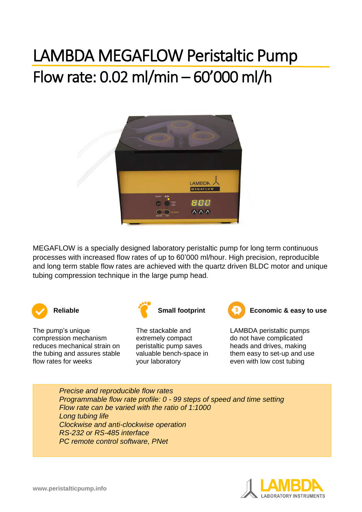## LAMBDA MEGAFLOW Peristaltic Pump Flow rate: 0.02 ml/min – 60'000 ml/h



MEGAFLOW is a specially designed laboratory peristaltic pump for long term continuous processes with increased flow rates of up to 60'000 ml/hour. High precision, reproducible and long term stable flow rates are achieved with the quartz driven BLDC motor and unique tubing compression technique in the large pump head.



The pump's unique compression mechanism reduces mechanical strain on the tubing and assures stable flow rates for weeks



The stackable and extremely compact peristaltic pump saves valuable bench-space in your laboratory



**Reliable Construction Construction Small footprint Construction Economic & easy to use** 

LAMBDA peristaltic pumps do not have complicated heads and drives, making them easy to set-up and use even with low cost tubing

*Precise and reproducible flow rates Programmable flow rate profile: 0 - 99 steps of speed and time setting Flow rate can be varied with the ratio of 1:1000 Long tubing life Clockwise and anti-clockwise operation RS-232 or RS-485 interface PC remote control software, PNet*